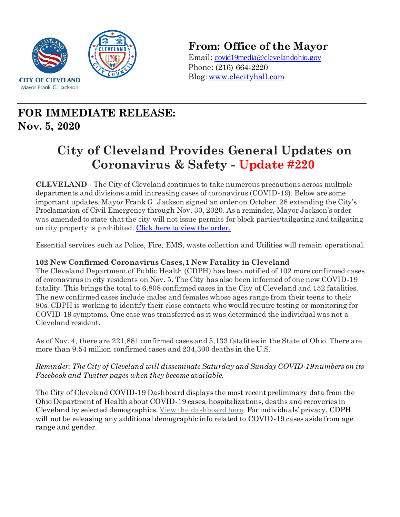

## **From: Office of the Mayor**

Email: covid19media@clevelandohio.gov Phone: (216) 664-2220 Blog: www.clecityhall.com

# **FOR IMMEDIATE RELEASE: Nov. 5, 2020**

# **City of Cleveland Provides General Updates on Coronavirus & Safety - Update #220**

**CLEVELAND –** The City of Cleveland continues to take numerous precautions across multiple departments and divisions amid increasing cases of coronavirus (COVID-19). Below are some important updates. Mayor Frank G. Jackson signed an order on October. 28 extending the City's Proclamation of Civil Emergency through Nov. 30, 2020. As a reminder, Mayor Jackson's order was amended to state that the city will not issue permits for block parties/tailgating and tailgating on city property is prohibited. [Click here to view the order.](https://clecityhall.files.wordpress.com/2020/10/mayor-jacksons-proclamation-of-civil-emergency-no.9-issued-10.28.2020.pdf)

Essential services such as Police, Fire, EMS, waste collection and Utilities will remain operational.

## **102 New Confirmed Coronavirus Cases, 1 New Fatality in Cleveland**

The Cleveland Department of Public Health (CDPH) has been notified of 102 more confirmed cases of coronavirus in city residents on Nov. 5. The City has also been informed of one new COVID-19 fatality. This brings the total to 6,808 confirmed cases in the City of Cleveland and 152 fatalities. The new confirmed cases include males and females whose ages range from their teens to their 80s. CDPH is working to identify their close contacts who would require testing or monitoring for COVID-19 symptoms. One case was transferred as it was determined the individual was not a Cleveland resident.

As of Nov. 4, there are 221,881 confirmed cases and 5,133 fatalities in the State of Ohio. There are more than 9.54 million confirmed cases and 234,300 deaths in the U.S.

*Reminder: The City of Cleveland will disseminate Saturday and Sunday COVID-19 numbers on its Facebook and Twitter pages when they become available.*

The City of Cleveland COVID-19 Dashboard displays the most recent preliminary data from the Ohio Department of Health about COVID-19 cases, hospitalizations, deaths and recoveries in Cleveland by selected demographics. View the [dashboard here](http://www.clevelandhealth.org/). For individuals' privacy, CDPH will not be releasing any additional demographic info related to COVID-19 cases aside from age range and gender.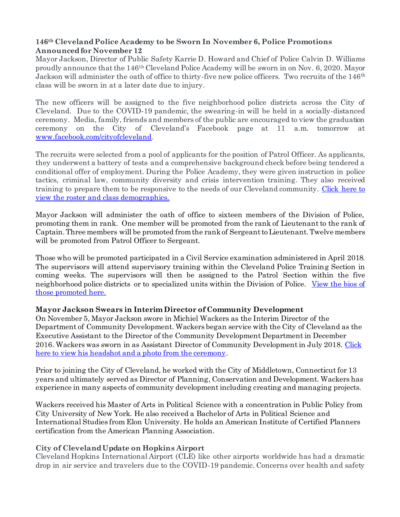#### **146th Cleveland Police Academy to be Sworn In November 6, Police Promotions Announced for November 12**

Mayor Jackson, Director of Public Safety Karrie D. Howard and Chief of Police Calvin D. Williams proudly announce that the 146th Cleveland Police Academy will be sworn in on Nov. 6, 2020. Mayor Jackson will administer the oath of office to thirty-five new police officers. Two recruits of the 146<sup>th</sup> class will be sworn in at a later date due to injury.

The new officers will be assigned to the five neighborhood police districts across the City of Cleveland. Due to the COVID-19 pandemic, the swearing-in will be held in a socially-distanced ceremony. Media, family, friends and members of the public are encouraged to view the graduation ceremony on the City of Cleveland's Facebook page at 11 a.m. tomorrow at [www.facebook.com/cityofcleveland](http://www.facebook.com/cityofcleveland).

The recruits were selected from a pool of applicants for the position of Patrol Officer. As applicants, they underwent a battery of tests and a comprehensive background check before being tendered a conditional offer of employment. During the Police Academy, they were given instruction in police tactics, criminal law, community diversity and crisis intervention training. They also received training to prepare them to be responsive to the needs of our Cleveland community. [Click here to](https://clecityhall.files.wordpress.com/2020/11/146th-cleveland-police-academy-class-roster-and-demographics.pdf)  [view the roster and class demographics.](https://clecityhall.files.wordpress.com/2020/11/146th-cleveland-police-academy-class-roster-and-demographics.pdf)

Mayor Jackson will administer the oath of office to sixteen members of the Division of Police, promoting them in rank. One member will be promoted from the rank of Lieutenant to the rank of Captain. Three members will be promoted from the rank of Sergeantto Lieutenant. Twelve members will be promoted from Patrol Officer to Sergeant.

Those who will be promoted participated in a Civil Service examination administered in April 2018. The supervisors will attend supervisory training within the Cleveland Police Training Section in coming weeks. The supervisors will then be assigned to the Patrol Section within the five neighborhood police districts or to specialized units within the Division of Police. [View the bios of](https://clecityhall.files.wordpress.com/2020/11/promotees-biographic-information-october-2020.pdf)  [those promoted here.](https://clecityhall.files.wordpress.com/2020/11/promotees-biographic-information-october-2020.pdf)

## **Mayor Jackson Swears in Interim Director of Community Development**

On November 5, Mayor Jackson swore in Michiel Wackers as the Interim Director of the Department of Community Development. Wackers began service with the City of Cleveland as the Executive Assistant to the Director of the Community Development Department in December 2016. Wackers was sworn in as Assistant Director of Community Development in July 2018[. Click](https://www.dropbox.com/sh/1ijcg6gwwfja31p/AAC-hYxAYmhnCFRj1CHNxiA2a?dl=0)  [here to view his headshot and a photo](https://www.dropbox.com/sh/1ijcg6gwwfja31p/AAC-hYxAYmhnCFRj1CHNxiA2a?dl=0) from the ceremony.

Prior to joining the City of Cleveland, he worked with the City of Middletown, Connecticut for 13 years and ultimately served as Director of Planning, Conservation and Development. Wackers has experience in many aspects of community development including creating and managing projects.

Wackers received his Master of Arts in Political Science with a concentration in Public Policy from City University of New York. He also received a Bachelor of Arts in Political Science and International Studies from Elon University. He holds an American Institute of Certified Planners certification from the American Planning Association.

## **City of Cleveland Update on Hopkins Airport**

Cleveland Hopkins International Airport (CLE) like other airports worldwide has had a dramatic drop in air service and travelers due to the COVID-19 pandemic. Concerns over health and safety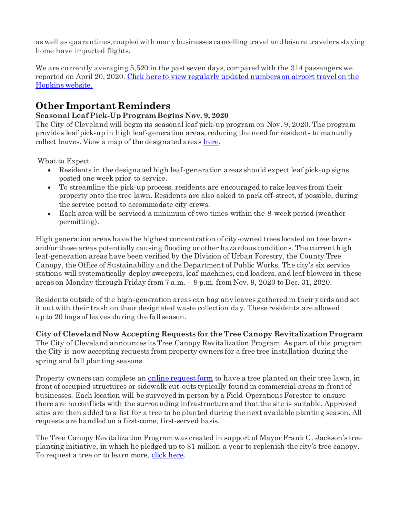as well as quarantines, coupled with many businesses cancelling travel and leisure travelers staying home have impacted flights.

We are currently averaging 5,520 in the past seven days, compared with the 314 passengers we reported on April 20, 2020. [Click here to view regularly updated numbers on airport travel on the](https://www.clevelandairport.com/)  [Hopkins website.](https://www.clevelandairport.com/)

## **Other Important Reminders**

## **Seasonal Leaf Pick-Up Program Begins Nov. 9, 2020**

The City of Cleveland will begin its seasonal leaf pick-up program on Nov. 9, 2020. The program provides leaf pick-up in high leaf-generation areas, reducing the need for residents to manually collect leaves. View a map of the designated areas [here.](https://clecityhall.files.wordpress.com/2020/10/2019.cle_leaf_program_areas_april2019-2.pdf)

What to Expect

- Residents in the designated high leaf-generation areas should expect leaf pick-up signs posted one week prior to service.
- To streamline the pick-up process, residents are encouraged to rake leaves from their property onto the tree lawn. Residents are also asked to park off-street, if possible, during the service period to accommodate city crews.
- Each area will be serviced a minimum of two times within the 8-week period (weather permitting).

High generation areas have the highest concentration of city-owned trees located on tree lawns and/or those areas potentially causing flooding or other hazardous conditions. The current high leaf-generation areas have been verified by the Division of Urban Forestry, the County Tree Canopy, the Office of Sustainability and the Department of Public Works. The city's six service stations will systematically deploy sweepers, leaf machines, end loaders, and leaf blowers in these areas on Monday through Friday from 7 a.m. – 9 p.m. from Nov. 9, 2020 to Dec. 31, 2020.

Residents outside of the high-generation areas can bag any leaves gathered in their yards and set it out with their trash on their designated waste collection day. These residents are allowed up to 20 bags of leaves during the fall season.

**City of Cleveland Now Accepting Requests for the Tree Canopy Revitalization Program** The City of Cleveland announces its Tree Canopy Revitalization Program. As part of this program the City is now accepting requests from property owners for a free tree installation during the spring and fall planting seasons.

Property owners can complete an [online request form](http://www.city.cleveland.oh.us/CityofCleveland/Home/Government/CityAgencies/ParksRecreationandProperties/DivisionofParkMaintenanceandProperties/UrbanForestry/RequestTree) to have a tree planted on their tree lawn, in front of occupied structures or sidewalk cut-outs typically found in commercial areas in front of businesses. Each location will be surveyed in person by a Field Operations Forester to ensure there are no conflicts with the surrounding infrastructure and that the site is suitable. Approved sites are then added to a list for a tree to be planted during the next available planting season. All requests are handled on a first-come, first-served basis.

The Tree Canopy Revitalization Program was created in support of Mayor Frank G. Jackson's tree planting initiative, in which he pledged up to \$1 million a year to replenish the city's tree canopy. To request a tree or to learn more, [click here.](http://www.city.cleveland.oh.us/CityofCleveland/Home/Government/CityAgencies/ParksRecreationandProperties/DivisionofParkMaintenanceandProperties/UrbanForestry/RequestTree)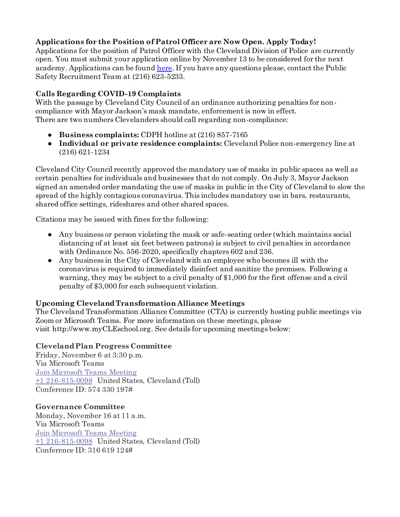## **Applications for the Position of Patrol Officer are Now Open. Apply Today!**

Applications for the position of Patrol Officer with the Cleveland Division of Police are currently open. You must submit your application online by November 13 to be considered for the next academy. Applications can be foun[d here.](https://www.governmentjobs.com/careers/cleveland?pagetype=jobOpportunitiesJobs&jobId=2872013&jobName=patrol-officer-examination&tab=1) If you have any questions please, contact the Public Safety Recruitment Team at (216) 623-5233.

## **Calls Regarding COVID-19 Complaints**

With the passage by Cleveland City Council of an ordinance authorizing penalties for noncompliance with Mayor Jackson's mask mandate, enforcement is now in effect. There are two numbers Clevelanders should call regarding non-compliance:

- **Business complaints:** CDPH hotline at (216) 857-7165
- **Individual or private residence complaints:** Cleveland Police non-emergency line at (216) 621-1234

Cleveland City Council recently approved the mandatory use of masks in public spaces as well as certain penalties for individuals and businesses that do not comply. On July 3, Mayor Jackson signed an amended order mandating the use of masks in public in the City of Cleveland to slow the spread of the highly contagious coronavirus. This includes mandatory use in bars, restaurants, shared office settings, rideshares and other shared spaces.

Citations may be issued with fines for the following:

- Any business or person violating the mask or safe-seating order (which maintains social distancing of at least six feet between patrons) is subject to civil penalties in accordance with Ordinance No. 556-2020, specifically chapters 602 and 236.
- Any business in the City of Cleveland with an employee who becomes ill with the coronavirus is required to immediately disinfect and sanitize the premises. Following a warning, they may be subject to a civil penalty of \$1,000 for the first offense and a civil penalty of \$3,000 for each subsequent violation.

## **Upcoming ClevelandTransformation Alliance Meetings**

The Cleveland Transformation Alliance Committee (CTA) is currently hosting public meetings via Zoom or Microsoft Teams. For more information on these meetings, please visit [http://www.myCLEschool.org.](http://www.mycleschool.org/) See details for upcoming meetings below:

## **Cleveland Plan Progress Committee**

Friday, November 6 at 3:30 p.m. Via Microsoft Teams [Join Microsoft Teams Meeting](https://teams.microsoft.com/l/meetup-join/19%3ameeting_ZjZlYTMyZTUtODM0MC00YzA4LWI4ZTUtNTlkMmExNGFkMGUz%40thread.v2/0?context=%7b%22Tid%22%3a%225dbb3024-8bde-472a-bcff-d8774687efc6%22%2c%22Oid%22%3a%22409b8b97-4589-4eea-a7bb-f33766222c64%22%7d) [+1 216-815-0098](tel:+1%20216-815-0098,,574330197) United States, Cleveland (Toll) Conference ID: 574 330 197#

#### **Governance Committee**

Monday, November 16 at 11 a.m. Via Microsoft Teams [Join Microsoft Teams Meeting](https://teams.microsoft.com/l/meetup-join/19%3ameeting_MjJmZDEwOWItYTBlYS00Zjk4LWE0OGItOWUzMzk2MDFmNzcy%40thread.v2/0?context=%7b%22Tid%22%3a%225dbb3024-8bde-472a-bcff-d8774687efc6%22%2c%22Oid%22%3a%22409b8b97-4589-4eea-a7bb-f33766222c64%22%7d) [+1 216-815-0098](tel:+1%20216-815-0098,,316619124) United States, Cleveland (Toll) Conference ID: 316 619 124#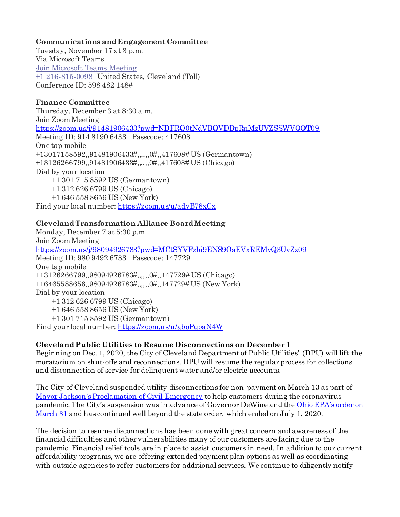#### **Communications and Engagement Committee**

Tuesday, November 17 at 3 p.m. Via Microsoft Teams [Join Microsoft Teams Meeting](https://teams.microsoft.com/l/meetup-join/19%3ameeting_OWU4N2ZkODMtMDVjZi00OWZlLTgxNzQtYzZjZmFmZGQ3ZTcy%40thread.v2/0?context=%7b%22Tid%22%3a%225dbb3024-8bde-472a-bcff-d8774687efc6%22%2c%22Oid%22%3a%22409b8b97-4589-4eea-a7bb-f33766222c64%22%7d) [+1 216-815-0098](tel:+1%20216-815-0098,,598482148) United States, Cleveland (Toll) Conference ID: 598 482 148#

#### **Finance Committee**

Thursday, December 3 at 8:30 a.m. Join Zoom Meeting <https://zoom.us/j/91481906433?pwd=NDFRQ0tNdVBQVDBpRnMzUVZSSWVQQT09> Meeting ID: 914 8190 6433 Passcode: 417608 One tap mobile +13017158592,,91481906433#,,,,,,0#,,417608# US (Germantown) +13126266799,,91481906433#,,,,,,0#,,417608# US (Chicago) Dial by your location +1 301 715 8592 US (Germantown) +1 312 626 6799 US (Chicago) +1 646 558 8656 US (New York) Find your local number: <https://zoom.us/u/adyB78xCx>

## **Cleveland Transformation Alliance Board Meeting**

Monday, December 7 at 5:30 p.m. Join Zoom Meeting <https://zoom.us/j/98094926783?pwd=MCtSYVFzbi9ENS9OaEVxREMyQ3UvZz09> Meeting ID: 980 9492 6783 Passcode: 147729 One tap mobile +13126266799,,98094926783#,,,,,,0#,,147729# US (Chicago) +16465588656,,98094926783#,,,,,,0#,,147729# US (New York) Dial by your location +1 312 626 6799 US (Chicago) +1 646 558 8656 US (New York) +1 301 715 8592 US (Germantown) Find your local number: <https://zoom.us/u/aboPqbaN4W>

#### **Cleveland Public Utilities to Resume Disconnections on December 1**

Beginning on Dec. 1, 2020, the City of Cleveland Department of Public Utilities' (DPU) will lift the moratorium on shut-offs and reconnections. DPU will resume the regular process for collections and disconnection of service for delinquent water and/or electric accounts.

The City of Cleveland suspended utility disconnections for non-payment on March 13 as part of [Mayor Jackson's Proclamation of Civil Emergency](https://clecityhall.com/2020/03/13/mayor-jackson-announces-policy-changes-during-proclamation-of-civil-emergency/) to help customers during the coronavirus pandemic. The City's suspension was in advance of Governor DeWine and the [Ohio EPA's order on](https://www.epa.state.oh.us/Portals/28/documents/pws/pws%20emergency%20grayscale.pdf)  [March 31](https://www.epa.state.oh.us/Portals/28/documents/pws/pws%20emergency%20grayscale.pdf) and has continued well beyond the state order, which ended on July 1, 2020.

The decision to resume disconnections has been done with great concern and awareness of the financial difficulties and other vulnerabilities many of our customers are facing due to the pandemic. Financial relief tools are in place to assist customers in need. In addition to our current affordability programs, we are offering extended payment plan options as well as coordinating with outside agencies to refer customers for additional services. We continue to diligently notify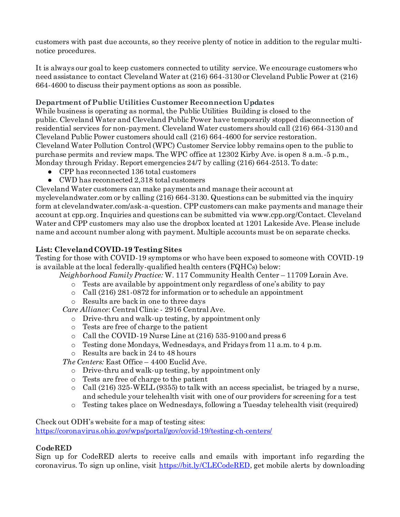customers with past due accounts, so they receive plenty of notice in addition to the regular multinotice procedures.

It is always our goal to keep customers connected to utility service. We encourage customers who need assistance to contact Cleveland Water at (216) 664-3130 or Cleveland Public Power at (216) 664-4600 to discuss their payment options as soon as possible.

## **Department of Public Utilities Customer Reconnection Updates**

While business is operating as normal, the Public Utilities Building is closed to the public. Cleveland Water and Cleveland Public Power have temporarily stopped disconnection of residential services for non-payment. Cleveland Water customers should call (216) 664-3130 and Cleveland Public Power customers should call (216) 664-4600 for service restoration. Cleveland Water Pollution Control (WPC) Customer Service lobby remains open to the public to purchase permits and review maps. The WPC office at 12302 Kirby Ave. is open 8 a.m.-5 p.m., Monday through Friday. Report emergencies 24/7 by calling (216) 664-2513. To date:

- CPP has reconnected 136 total customers
- CWD has reconnected 2,318 total customers

Cleveland Water customers can make payments and manage their account at

myclevelandwater.com or by calling (216) 664-3130. Questions can be submitted via the inquiry form at clevelandwater.com/ask-a-question. CPP customers can make payments and manage their account at cpp.org. Inquiries and questions can be submitted via [www.cpp.org/Contact](http://www.cpp.org/Contact). Cleveland Water and CPP customers may also use the dropbox located at 1201 Lakeside Ave. Please include name and account number along with payment. Multiple accounts must be on separate checks.

## **List: Cleveland COVID-19 Testing Sites**

Testing for those with COVID-19 symptoms or who have been exposed to someone with COVID-19 is available at the local federally-qualified health centers (FQHCs) below:

*Neighborhood Family Practice:* W. 117 Community Health Center – 11709 Lorain Ave.

- o Tests are available by appointment only regardless of one's ability to pay
- $\circ$  Call (216) 281-0872 for information or to schedule an appointment
- o Results are back in one to three days

*Care Alliance*: Central Clinic - 2916 Central Ave.

- o Drive-thru and walk-up testing, by appointment only
- o Tests are free of charge to the patient
- o Call the COVID-19 Nurse Line at (216) 535-9100 and press 6
- o Testing done Mondays, Wednesdays, and Fridays from 11 a.m. to 4 p.m.
- o Results are back in 24 to 48 hours

*The Centers:* East Office – 4400 Euclid Ave.

- o Drive-thru and walk-up testing, by appointment only
- o Tests are free of charge to the patient
- o Call (216) 325-WELL (9355) to talk with an access specialist, be triaged by a nurse, and schedule your telehealth visit with one of our providers for screening for a test
- o Testing takes place on Wednesdays, following a Tuesday telehealth visit (required)

Check out ODH's website for a map of testing sites:

<https://coronavirus.ohio.gov/wps/portal/gov/covid-19/testing-ch-centers/>

## **CodeRED**

Sign up for CodeRED alerts to receive calls and emails with important info regarding the coronavirus. To sign up online, visit [https://bit.ly/CLECodeRED,](https://bit.ly/CLECodeRED) get mobile alerts by downloading